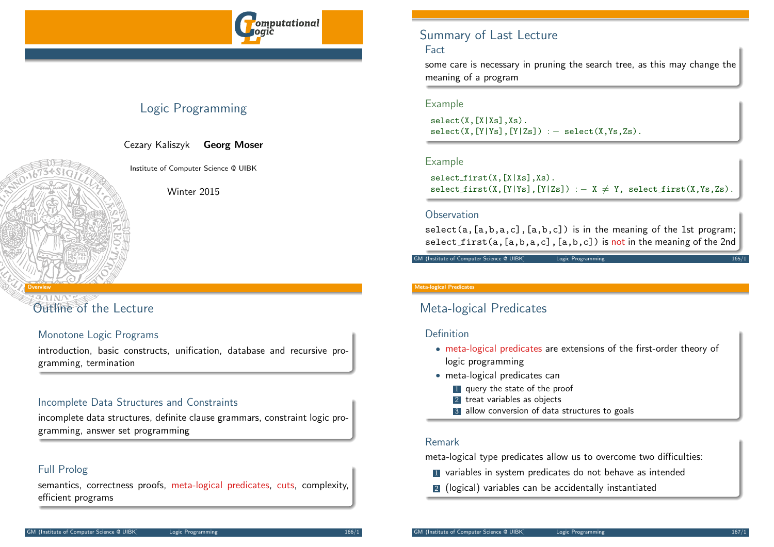

# Logic Programming

Cezary Kaliszyk Georg Moser

Institute of Computer Science @ UIBK

Winter 2015

# [Outlin](#page-0-0)e of the Lecture

<span id="page-0-0"></span>Overview

## Monotone Logic Programs

introduction, basic constructs, unification, database and recursive programming, termination

## Incomplete Data Structures and Constraints

incomplete data structures, definite clause grammars, constraint logic programming, answer set programming

## Full Prolog

semantics, correctness proofs, meta-logical predicates, cuts, complexity, efficient programs

# Summary of Last Lecture

## Fact

some care is necessary in pruning the search tree, as this may change the meaning of a program

## Example

 $select(X, [X|Xs], Xs)$ .  $select(X, [Y|Ys], [Y|Zs]) := select(X, Ys, Zs)$ .

## Example

 $select\_first(X, [X|Xs], Xs)$ .  $select\_first(X, [Y|Ys], [Y|Zs]) :- X \neq Y$ ,  $select\_first(X, Ys, Zs)$ .

### **Observation**

 $select(a, [a,b,a,c], [a,b,c])$  is in the meaning of the 1st program; select first( $a, [a,b,a,c]$ , $[a,b,c]$ ) is not in the meaning of the 2nd

GM (Institute of Computer Science @ UIBK) Logic Programming

#### Meta-logical Predicates

# Meta-logical Predicates

## Definition

- meta-logical predicates are extensions of the first-order theory of logic programming
- meta-logical predicates can
	- **1** query the state of the proof
	- 2 treat variables as objects
	- 3 allow conversion of data structures to goals

## Remark

meta-logical type predicates allow us to overcome two difficulties:

- **1** variables in system predicates do not behave as intended
- 2 (logical) variables can be accidentally instantiated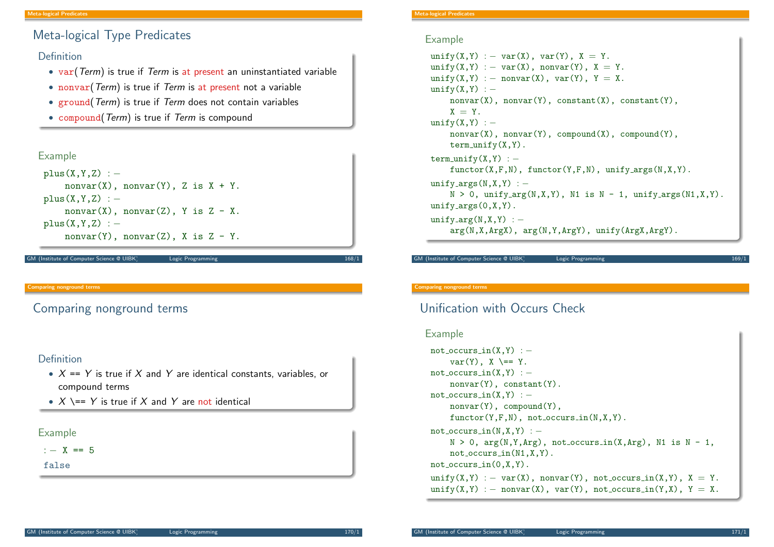# Meta-logical Type Predicates

## Definition

- var(Term) is true if Term is at present an uninstantiated variable
- nonvar (Term) is true if Term is at present not a variable
- ground (Term) is true if Term does not contain variables
- compound(Term) is true if Term is compound

## Example

```
plus(X,Y,Z) : -nonvar(X), nonvar(Y), Z is X + Y.
plus(X,Y,Z) : -nonvar(X), nonvar(Z), Y is Z - X.
plus(X,Y,Z) : −
    nonvar(Y), nonvar(Z), X is Z - Y.
```
M (Institute of Computer Science @ UIBK) Logic Programming

#### Comparing nonground terms

<span id="page-1-0"></span>[Com](#page-0-0)[pari](#page-1-0)ng nonground terms

## Definition

- $X = Y$  is true if X and Y are identical constants, variables, or compound terms
- $X$   $\leftarrow$   $Y$  is true if X and Y are not identical

### Example

 $\cdot$   $-$  X == 5

false

eta-logical Predicates

## Example

```
unify(X, Y) := var(X), var(Y), X = Y.unify(X, Y) := var(X), nonvar(Y), X = Y.
unify(X,Y) := nonvar(X), var(Y), Y = X.unify(X,Y) : −
    nonvar(X), nonvar(Y), constant(X), constant(Y),
    X = Y.
unify(X,Y) : -
    nonvar(X), nonvar(Y), comround(X), comround(Y),
    term\_unity(X, Y).
term\_unity(X, Y) : -functor(X,F,N), functor(Y,F,N), unify args(N,X,Y).
unifv_{\text{args}}(N,X,Y) : -N > 0, unify_arg(N,X,Y), N1 is N - 1, unify_args(N1,X,Y).
unify_{-}args(0,X,Y).
unify_arg(N,X,Y) : -
    arg(N,X,ArgX), arg(N,Y,ArgY), unify(ArgX,ArgY).
```
M (Institute of Computer Science @ UIBK) Logic Programmin

#### Comparing nonground terms

# Unification with Occurs Check

### Example

```
not\_occurs_in(X,Y) : -
    var(Y), X == Y.
not\_occurs\_in(X,Y) : -
    nonvar(Y), constant(Y).
not\_occurs_in(X,Y) : -
    nonvar(Y), compound(Y),
    functor(Y,F,N), not occurs_in(N,X,Y).not\_occurs\_in(N,X,Y) : −
    N > 0, arg(N, Y, Arg), not_{occurs\_in(X, Arg), N1 is N - 1,
    not occurs in(N1,X,Y).
not occurs in(0,X,Y).
unify(X,Y) := var(X), nonvar(Y), not occurs in(X,Y), X = Y.
unify(X, Y) := nonvar(X), var(Y), not occurs_in(Y, X), Y = X.
```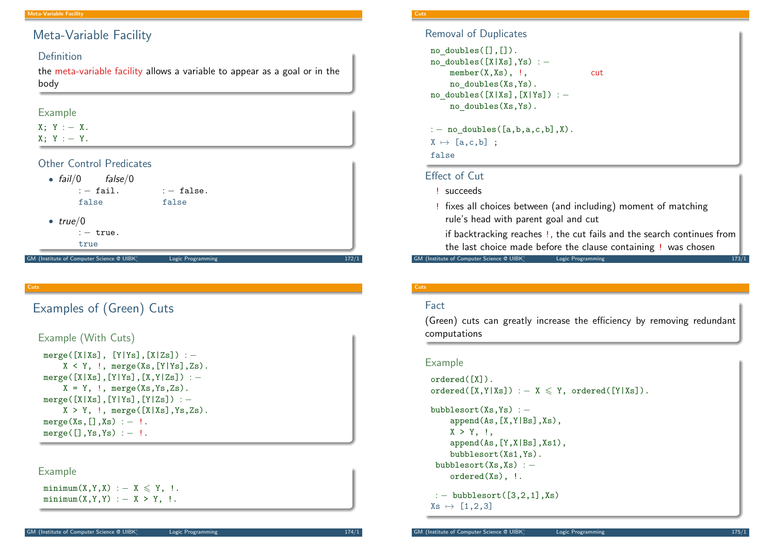# Meta-Variable Facility

## Definition

the meta-variable facility allows a variable to appear as a goal or in the body

## Example

 $X$ ;  $Y$  : - X.  $X: Y: -Y.$ 

## Other Control Predicates

| • $fail/0$ $false/0$<br>$: -$ fail.<br>false | $: -$ false.<br>false |       |
|----------------------------------------------|-----------------------|-------|
| $\bullet$ true/ $0$                          |                       |       |
| $: -$ true.                                  |                       |       |
| true                                         |                       |       |
| GM (Institute of Computer Science @ UIBK)    | Logic Programming     | 172/1 |

#### Cuts

# <span id="page-2-0"></span>[Exam](#page-2-0)ples of (Green) Cuts

```
Example (With Cuts)
 merge([X|Xs], [Y|Ys],[X|Zs]) : −
     X < Y, !, merge(Xs, [Y|Ys],Zs).
 merge([X|Xs], [Y|Ys], [X,Y|Zs]) : −
     X = Y, \vdots, merge(Xs, Ys, Zs).
 merge([X|Xs], [Y|Ys], [Y|Zs]) : −
     X > Y, !, merge([X|Xs], Ys, Zs).
 merge(Xs, [],Xs) : - !.
 merge([], Ys, Ys) := !.
```
## Example

 $minimum(X,Y,X) : - X \leq Y, !$ .  $minimum(X, Y, Y) := X > Y,$  !.

#### Cuts

Removal of Duplicates

```
no doubles([],[]).
no doubles([X|Xs],Ys) : −
   member(X,Xs), !, cut
   no doubles(Xs,Ys).
no doubles([X|Xs],[X|Ys]) : −
   no doubles(Xs,Ys).
```
:  $-$  no doubles( $[a, b, a, c, b]$ ,X).

 $X \mapsto [a, c, b]$ ;

false

## Effect of Cut

## ! succeeds

! fixes all choices between (and including) moment of matching rule's head with parent goal and cut

if backtracking reaches !, the cut fails and the search continues from the last choice made before the clause containing ! was chosen

GM (Institute of Computer Science @ UIBK) Logic Programming 2008 173/12 173/12

### Cuts

## Fact

(Green) cuts can greatly increase the efficiency by removing redundant computations

## Example

```
ordered([X]).
ordered([X, Y|Xs]) : - X \leq Y, ordered([Y|Xs]).
```
bubblesort(Xs,Ys) : − append(As,[X,Y|Bs],Xs),  $X > Y$ ,  $\cdot$ append(As,[Y,X|Bs],Xs1), bubblesort(Xs1,Ys). bubblesort(Xs,Xs) : − ordered(Xs), !.

: - bubblesort([3,2,1],Xs)  $Xs \mapsto [1,2,3]$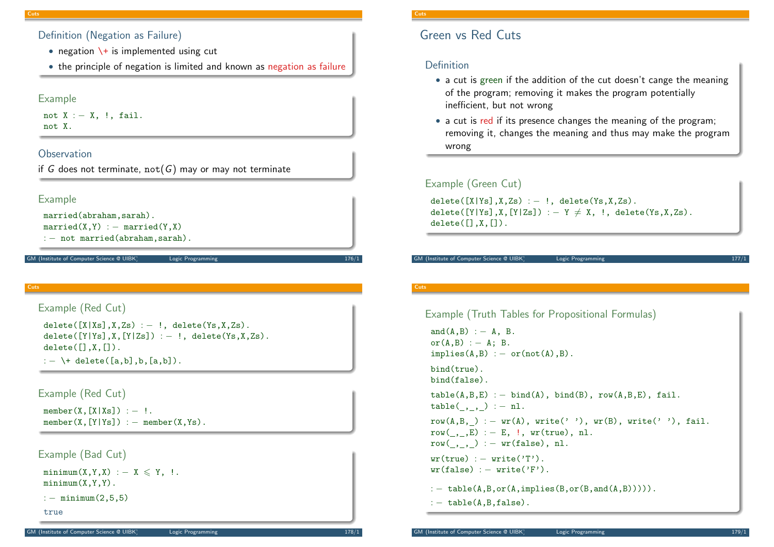## Definition (Negation as Failure)

- negation  $\setminus +$  is implemented using cut
- the principle of negation is limited and known as negation as failure

## Example

not  $X := X$ , !, fail. not X.

## **Observation**

```
if G does not terminate, not(G) may or may not terminate
```


```
martied(X,Y) := married(Y,X)
```
: - not married(abraham, sarah).

M (Institute of Computer Science @ UIBK) Logic Programming

#### Cuts

```
Example (Red Cut)
 delete([X|Xs],X,Zs) := !, delete(Ys,X,Zs).
 delete([Y|Ys],X,[Y|Zs]) : - !, delete(Ys,X,Zs).
 delete([], X, []).: - \+ delete([a,b],b,[a,b]).
```
Example (Red Cut)

```
member(X, [X|Xs]) := !.
member(X, [Y|Ys]) : - member(X, Ys).
```

```
Example (Bad Cut)
```

```
minimum(X, Y, X) : - X \leq Y, !.
minimum(X, Y, Y).
```

```
: - minimum(2,5,5)
```

```
true
```
# Green vs Red Cuts

## Definition

- a cut is green if the addition of the cut doesn't cange the meaning of the program; removing it makes the program potentially inefficient, but not wrong
- a cut is red if its presence changes the meaning of the program; removing it, changes the meaning and thus may make the program wrong

## Example (Green Cut)

 $delete([X|YS], X, Zs) := !$ ,  $delete(Ys, X, Zs)$ . delete( $[Y|Ys]$ ,X, $[Y|Zs]$ ) : - Y  $\neq$  X, !, delete(Ys,X,Zs).  $delete([], X, []).$ 

#### GM (Institute of Computer Science @ UIBK) Logic Programming

### **Cuts**

```
Example (Truth Tables for Propositional Formulas)
 and(A, B) := A, B.or(A,B) : - A; B.
 implies(A,B) := or(not(A),B).
 bind(true).
 bind(false).
 table(A, B, E) : - bind(A), bind(B), row(A,B,E), fail.
 table(,,,) := n1.
 row(A,B, ) := wr(A), write(' '), wr(B), write(' '), fail.row(,,E) : - E, !, wr(true), nl.
row(\_,\_) := wr(false), nl.wr(true) := write('T').wr(false) := write('F').: - table(A, B, or(A, implies(B, or(B, and(A, B))))).
 : - table(A, B, false).
```